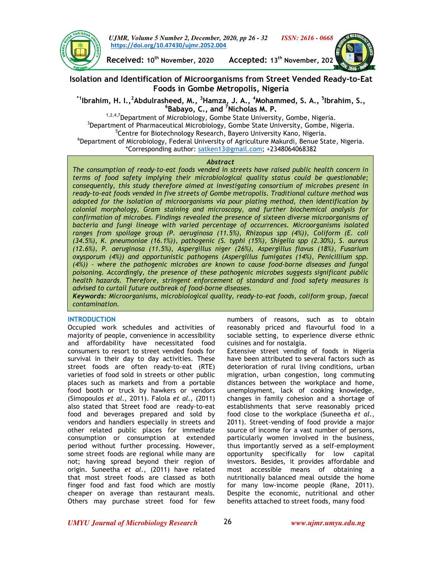

*UJMR, Volume 5 Number 2, December, 2020, pp 26 - 32 ISSN: 2616 - 0668* **https://doi.org/10.47430/ujmr.2052.004**



**Received: 10th November, 2020 Accepted: 13th November, 2020** 

# **Isolation and Identification of Microorganisms from Street Vended Ready-to-Eat Foods in Gombe Metropolis, Nigeria**

**\*1Ibrahim, H. I.,<sup>2</sup>Abdulrasheed, M., <sup>3</sup>Hamza, J. A., <sup>4</sup>Mohammed, S. A., <sup>5</sup> Ibrahim, S., 6 Babayo, C., and <sup>7</sup>Nicholas M. P.** 

<sup>1,2,4,7</sup>Department of Microbiology, Gombe State University, Gombe, Nigeria.  ${}^{3}$ Department of Pharmaceutical Microbiology, Gombe State University, Gombe, Nigeria. <sup>5</sup>Centre for Biotechnology Research, Bayero University Kano, Nigeria.  $^6$ Department of Microbiology, Federal University of Agriculture Makurdi, Benue State, Nigeria. \*Corresponding author: satken13@gmail.com; +2348064068382

## *Abstract*

*The consumption of ready-to-eat foods vended in streets have raised public health concern in terms of food safety implying their microbiological quality status could be questionable; consequently, this study therefore aimed at investigating consortium of microbes present in ready-to-eat foods vended in five streets of Gombe metropolis. Traditional culture method was adopted for the isolation of microorganisms via pour plating method, then identification by colonial morphology, Gram staining and microscopy, and further biochemical analysis for confirmation of microbes. Findings revealed the presence of sixteen diverse microorganisms of bacteria and fungi lineage with varied percentage of occurrences. Microorganisms isolated ranges from spoilage group (P. aeruginosa (11.5%), Rhizopus spp (4%)), Coliform (E. coli (34.5%), K. pneumoniae (16.1%)), pathogenic (S. typhi (15%), Shigella spp (2.30%), S. aureus (12.6%), P. aeruginosa (11.5%), Aspergillus niger (26%), Aspergillus flavus (18%), Fusarium oxysporum (4%)) and opportunistic pathogens (Aspergillus fumigates (14%), Penicillium spp. (4%)) – where the pathogenic microbes are known to cause food-borne diseases and fungal poisoning. Accordingly, the presence of these pathogenic microbes suggests significant public health hazards. Therefore, stringent enforcement of standard and food safety measures is advised to curtail future outbreak of food-borne diseases.* 

*Keywords: Microorganisms, microbiological quality, ready-to-eat foods, coliform group, faecal contamination.* 

## **INTRODUCTION**

Occupied work schedules and activities of majority of people, convenience in accessibility and affordability have necessitated food consumers to resort to street vended foods for survival in their day to day activities. These street foods are often ready-to-eat (RTE) varieties of food sold in streets or other public places such as markets and from a portable food booth or truck by hawkers or vendors (Simopoulos *et al.,* 2011). Falola *et al.,* (2011) also stated that Street food are ready-to-eat food and beverages prepared and sold by vendors and handlers especially in streets and other related public places for immediate consumption or consumption at extended period without further processing. However, some street foods are regional while many are not; having spread beyond their region of origin. Suneetha *et al*., (2011) have related that most street foods are classed as both finger food and fast food which are mostly cheaper on average than restaurant meals. Others may purchase street food for few

numbers of reasons, such as to obtain reasonably priced and flavourful food in a sociable setting, to experience diverse ethnic cuisines and for nostalgia.

Extensive street vending of foods in Nigeria have been attributed to several factors such as deterioration of rural living conditions, urban migration, urban congestion, long commuting distances between the workplace and home, unemployment, lack of cooking knowledge, changes in family cohesion and a shortage of establishments that serve reasonably priced food close to the workplace (Suneetha *et al*., 2011). Street-vending of food provide a major source of income for a vast number of persons, particularly women involved in the business, thus importantly served as a self-employment opportunity specifically for low capital investors. Besides, it provides affordable and most accessible means of obtaining a nutritionally balanced meal outside the home for many low-income people (Rane, 2011). Despite the economic, nutritional and other benefits attached to street foods, many food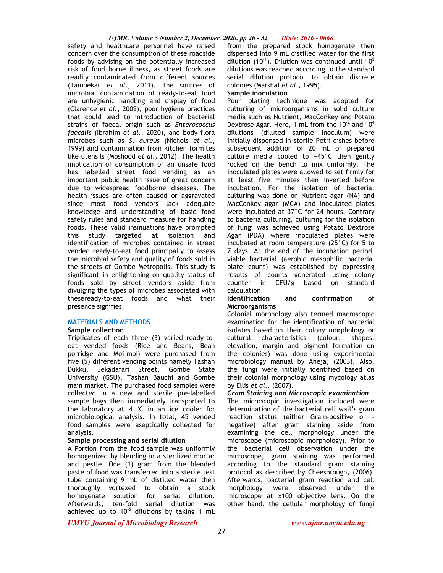safety and healthcare personnel have raised concern over the consumption of these roadside foods by advising on the potentially increased risk of food borne illness, as street foods are readily contaminated from different sources (Tambekar *et al*., 2011). The sources of microbial contamination of ready-to-eat food are unhygienic handling and display of food (Clarence *et al.,* 2009), poor hygiene practices that could lead to introduction of bacterial strains of faecal origin such as *Enterococcus faecalis* (Ibrahim *et al.,* 2020), and body flora microbes such as *S. aureus* (Nichols *et al.*, 1999) and contamination from kitchen formites like utensils (Moshood *et al.,* 2012). The health implication of consumption of an unsafe food has labelled street food vending as an important public health issue of great concern due to widespread foodborne diseases. The health issues are often caused or aggravated since most food vendors lack adequate knowledge and understanding of basic food safety rules and standard measure for handling foods. These valid insinuations have prompted this study targeted at isolation and identification of microbes contained in street vended ready-to-eat food principally to assess the microbial safety and quality of foods sold in the streets of Gombe Metropolis. This study is significant in enlightening on quality status of foods sold by street vendors aside from divulging the types of microbes associated with theseready-to-eat foods and what their presence signifies.

## **MATERIALS AND METHODS**

#### **Sample collection**

Triplicates of each three (3) varied ready-toeat vended foods (Rice and Beans, Bean porridge and Moi-moi) were purchased from five (5) different vending points namely Tashan Dukku, Jekadafari Street, Gombe State University (GSU), Tashan Bauchi and Gombe main market. The purchased food samples were collected in a new and sterile pre-labelled sample bags then immediately transported to the laboratory at 4  $^{\circ}$ C in an ice cooler for microbiological analysis. In total, 45 vended food samples were aseptically collected for analysis.

## **Sample processing and serial dilution**

A Portion from the food sample was uniformly homogenized by blending in a sterilized mortar and pestle. One (1) gram from the blended paste of food was transferred into a sterile test tube containing 9 mL of distilled water then thoroughly vortexed to obtain a stock homogenate solution for serial dilution. Afterwards, ten-fold serial dilution was achieved up to  $10^{-5}$  dilutions by taking 1 mL

from the prepared stock homogenate then dispensed into 9 mL distilled water for the first dilution (10<sup>-1</sup>). Dilution was continued until 10<sup>5</sup> dilutions was reached according to the standard serial dilution protocol to obtain discrete colonies (Marshal *et al.,* 1995).

## **Sample inoculation**

Pour plating technique was adopted for culturing of microorganisms in solid culture media such as Nutrient, MacConkey and Potato Dextrose Agar. Here, 1 mL from the  $10^{-2}$  and  $10^{4}$ dilutions (diluted sample inoculum) were initially dispensed in sterile Petri dishes before subsequent addition of 20 mL of prepared culture media cooled to ~45°C then gently rocked on the bench to mix uniformly. The inoculated plates were allowed to set firmly for at least five minutes then inverted before incubation. For the isolation of bacteria, culturing was done on Nutrient agar (NA) and MacConkey agar (MCA) and inoculated plates were incubated at 37°C for 24 hours. Contrary to bacteria culturing, culturing for the isolation of fungi was achieved using Potato Dextrose Agar (PDA) where inoculated plates were incubated at room temperature (25°C) for 5 to 7 days. At the end of the incubation period, viable bacterial (aerobic mesophilic bacterial plate count) was established by expressing results of counts generated using colony counter in CFU/g based on standard calculation.

## **Identification and confirmation of Microorganisms**

Colonial morphology also termed macroscopic examination for the identification of bacterial isolates based on their colony morphology or cultural characteristics (colour, shapes, elevation, margin and pigment formation on the colonies) was done using experimental microbiology manual by Aneja, (2003). Also, the fungi were initially identified based on their colonial morphology using mycology atlas by Ellis *et al.,* (2007).

## *Gram Staining and Microscopic examination*

The microscopic investigation included were determination of the bacterial cell wall's gram reaction status (either Gram-positive or negative) after gram staining aside from examining the cell morphology under the microscope (microscopic morphology). Prior to the bacterial cell observation under the microscope, gram staining was performed according to the standard gram staining protocol as described by Cheesbrough, (2006). Afterwards, bacterial gram reaction and cell morphology were observed under the microscope at x100 objective lens. On the other hand, the cellular morphology of fungi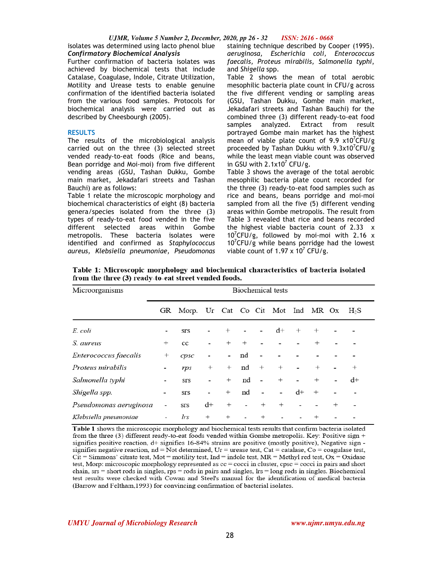# *Confirmatory Biochemical Analysis*

Further confirmation of bacteria isolates was achieved by biochemical tests that include Catalase, Coagulase, Indole, Citrate Utilization, Motility and Urease tests to enable genuine confirmation of the identified bacteria isolated from the various food samples. Protocols for biochemical analysis were carried out as described by Cheesbourgh (2005).

## **RESULTS**

The results of the microbiological analysis carried out on the three (3) selected street vended ready-to-eat foods (Rice and beans, Bean porridge and Moi-moi) from five different vending areas (GSU, Tashan Dukku, Gombe main market, Jekadafari streets and Tashan Bauchi) are as follows:

Table 1 relate the microscopic morphology and biochemical characteristics of eight (8) bacteria genera/species isolated from the three (3) types of ready-to-eat food vended in the five different selected areas within Gombe metropolis. These bacteria isolates were identified and confirmed as *Staphylococcus aureus, Klebsiella pneumoniae, Pseudomonas* 

isolates was determined using lacto phenol blue staining technique described by Cooper (1995). *aeruginosa, Escherichia coli, Enterococcus faecalis, Proteus mirabilis, Salmonella typhi*, and *Shigella* spp.

> Table 2 shows the mean of total aerobic mesophilic bacteria plate count in CFU/g across the five different vending or sampling areas (GSU, Tashan Dukku, Gombe main market, Jekadafari streets and Tashan Bauchi) for the combined three (3) different ready-to-eat food samples analyzed. Extract from result portrayed Gombe main market has the highest mean of viable plate count of 9.9  $x10^7$ CFU/g proceeded by Tashan Dukku with  $9.3x10^7$ CFU/g while the least mean viable count was observed in GSU with  $2.1x10^7$  CFU/g.

> Table 3 shows the average of the total aerobic mesophilic bacteria plate count recorded for the three (3) ready-to-eat food samples such as rice and beans, beans porridge and moi-moi sampled from all the five (5) different vending areas within Gombe metropolis. The result from Table 3 revealed that rice and beans recorded the highest viable bacteria count of 2.33 x  $10^{7}$ CFU/g, followed by moi-moi with 2.16 x  $10<sup>7</sup>CFU/g$  while beans porridge had the lowest viable count of 1.97 x 10<sup>7</sup> CFU/g.

| Microorganisms         | Biochemical tests        |                                      |                          |        |                          |                          |                          |                          |        |        |        |  |
|------------------------|--------------------------|--------------------------------------|--------------------------|--------|--------------------------|--------------------------|--------------------------|--------------------------|--------|--------|--------|--|
|                        |                          | GR Morp. Ur Cat Co Cit Mot Ind MR Ox |                          |        |                          |                          |                          |                          |        |        | $H_2S$ |  |
| E. coli                | ٠                        | <b>STS</b>                           |                          | $^{+}$ | $\overline{\phantom{a}}$ | $\overline{\phantom{a}}$ | $d+$                     | $^{+}$                   | $^{+}$ |        |        |  |
| S. aureus              | $^{+}$                   | cc                                   |                          | $^{+}$ | $^{+}$                   |                          |                          |                          | $^{+}$ |        |        |  |
| Enterococcus faecalis  | $^{+}$                   | cpc                                  |                          | $ \,$  | nd                       | $\overline{\phantom{m}}$ |                          |                          |        |        |        |  |
| Proteus mirabilis      |                          | rps                                  | $^{+}$                   | $+$    | nd                       | $+$                      | $^{+}$                   | $\overline{\phantom{a}}$ | $^{+}$ |        | $^{+}$ |  |
| Salmonella typhi       |                          | <b>STS</b>                           | -                        | $^{+}$ | nd                       | $\sim$                   | $^{+}$                   | $\overline{\phantom{a}}$ | $^{+}$ |        | $d+$   |  |
| Shigella spp.          |                          | srs                                  | $\overline{\phantom{0}}$ | $^{+}$ | nd                       | $\sim$                   | $\overline{\phantom{a}}$ | d+                       | $^{+}$ |        |        |  |
| Pseudomonas aeruginosa | $\overline{\phantom{a}}$ | srs                                  | d+                       | $^{+}$ | $\blacksquare$           | $^{+}$                   | $^{+}$                   |                          |        | $^{+}$ |        |  |
| Klebsiella pneumoniae  | $\sim 100$               | lrs                                  | $^{+}$                   | $^{+}$ |                          | $^{+}$                   |                          |                          | $^{+}$ |        |        |  |

Table 1: Microscopic morphology and biochemical characteristics of bacteria isolated from the three (3) ready-to-eat street vended foods.

Table 1 shows the microscopic morphology and biochemical tests results that confirm bacteria isolated from the three (3) different ready-to-eat foods vended within Gombe metropolis. Key: Positive sign + signifies positive reaction,  $d$ + signifies 16-84% strains are positive (mostly positive), Negative sign signifies negative reaction,  $nd = Not$  determined,  $Ur =$  urease test,  $Cat =$  catalase,  $Co =$  coagulase test,  $Cit$  = Simmons' citrate test, Mot = motility test, Ind = indole test, MR = Methyl red test, Ox = Oxidase test, Morp: microscopic morphology represented as  $cc = cocc$  in cluster,  $cpec = cocc$  in pairs and short chain,  $srs$  = short rods in singles,  $rps$  = rods in pairs and singles,  $lrs$  = long rods in singles. Biochemical test results were checked with Cowan and Steel's manual for the identification of medical bacteria (Barrow and Feltham, 1993) for convincing confirmation of bacterial isolates.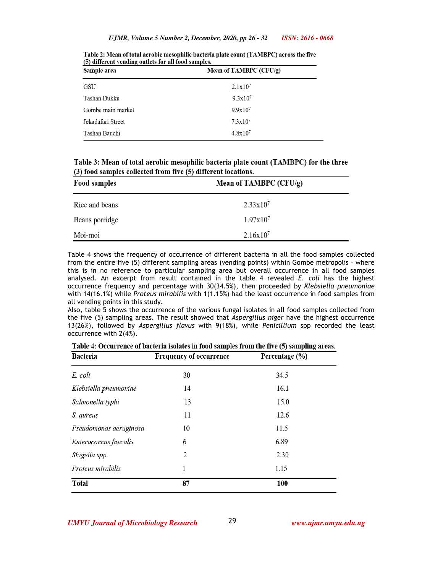| Sample area       | Mean of TAMBPC (CFU/g) |  |
|-------------------|------------------------|--|
| GSU               | 2.1x10 <sup>7</sup>    |  |
| Tashan Dukku      | $9.3x10^{7}$           |  |
| Gombe main market | $9.9x10^{7}$           |  |
| Jekadafari Street | $7.3x10^{7}$           |  |
| Tashan Bauchi     | $4.8x10^{7}$           |  |

Table 2: Mean of total aerobic mesophilic bacteria plate count (TAMBPC) across the five (5) different vending outlets for all food samples.

Table 3: Mean of total aerobic mesophilic bacteria plate count (TAMBPC) for the three (3) food samples collected from five (5) different locations.

| Food samples   | Mean of TAMBPC (CFU/g) |  |  |
|----------------|------------------------|--|--|
| Rice and beans | $2.33 \times 10^7$     |  |  |
| Beans porridge | 1.97x107               |  |  |
| Moi-moi        | $2.16x10^{7}$          |  |  |

Table 4 shows the frequency of occurrence of different bacteria in all the food samples collected from the entire five (5) different sampling areas (vending points) within Gombe metropolis – where this is in no reference to particular sampling area but overall occurrence in all food samples analysed. An excerpt from result contained in the table 4 revealed *E. coli* has the highest occurrence frequency and percentage with 30(34.5%), then proceeded by *Klebsiella pneumoniae* with 14(16.1%) while *Proteus mirabilis* with 1(1.15%) had the least occurrence in food samples from all vending points in this study.

Also, table 5 shows the occurrence of the various fungal isolates in all food samples collected from the five (5) sampling areas. The result showed that *Aspergillus niger* have the highest occurrence 13(26%), followed by *Aspergillus flavus* with 9(18%), while *Penicillium* spp recorded the least occurrence with 2(4%).

| <b>Bacteria</b>        | Frequency of occurrence | Percentage (%) |  |
|------------------------|-------------------------|----------------|--|
| E. coli                | 30                      | 34.5           |  |
| Klebsiella pneumoniae  | 14                      | 16.1           |  |
| Salmonella typhi       | 13                      | 15.0           |  |
| S. aureus              | 11                      | 12.6           |  |
| Pseudomonas aeruginosa | 10                      | 11.5           |  |
| Enterococcus faecalis  | 6                       | 6.89           |  |
| Shigella spp.          | 2                       | 2.30           |  |
| Proteus mirabilis      | 1                       | 1.15           |  |
| <b>Total</b>           | 87                      | 100            |  |

Table 4: Occurrence of bacteria isolates in food samples from the five (5) sampling areas.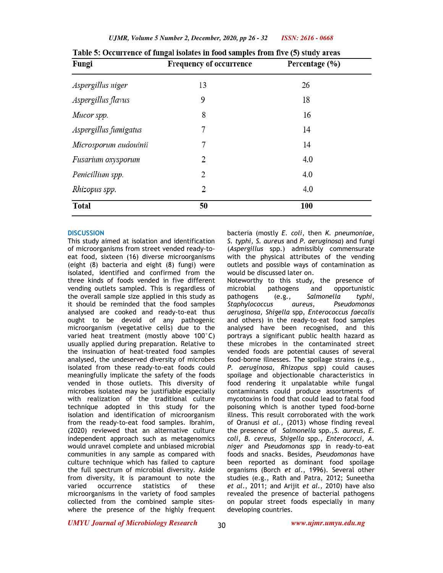| Fungi                 | <b>Frequency of occurrence</b> | Percentage (%) |
|-----------------------|--------------------------------|----------------|
| Aspergillus niger     | 13                             | 26             |
| Aspergillus flavus    | 9                              | 18             |
| Mucor spp.            | 8                              | 16             |
| Aspergillus fumigatus | 7                              | 14             |
| Microsporum audouinii | 7                              | 14             |
| Fusarium oxysporum    | 2                              | 4.0            |
| Penicillium spp.      | 2                              | 4.0            |
| Rhizopus spp.         | $\overline{2}$                 | 4.0            |
| <b>Total</b>          | 50                             | 100            |

Table 5: Occurrence of fungal isolates in food samples from five (5) study areas

## **DISCUSSION**

This study aimed at isolation and identification of microorganisms from street vended ready-toeat food, sixteen (16) diverse microorganisms (eight (8) bacteria and eight (8) fungi) were isolated, identified and confirmed from the three kinds of foods vended in five different vending outlets sampled. This is regardless of the overall sample size applied in this study as it should be reminded that the food samples analysed are cooked and ready-to-eat thus ought to be devoid of any pathogenic microorganism (vegetative cells) due to the varied heat treatment (mostly above 100°C) usually applied during preparation. Relative to the insinuation of heat-treated food samples analysed, the undeserved diversity of microbes isolated from these ready-to-eat foods could meaningfully implicate the safety of the foods vended in those outlets. This diversity of microbes isolated may be justifiable especially with realization of the traditional culture technique adopted in this study for the isolation and identification of microorganism from the ready-to-eat food samples. Ibrahim, (2020) reviewed that an alternative culture independent approach such as metagenomics would unravel complete and unbiased microbial communities in any sample as compared with culture technique which has failed to capture the full spectrum of microbial diversity. Aside from diversity, it is paramount to note the varied occurrence statistics of these microorganisms in the variety of food samples collected from the combined sample siteswhere the presence of the highly frequent

bacteria (mostly *E. coli,* then *K. pneumoniae, S. typhi, S. aureus* and *P. aeruginosa*) and fungi (*Aspergillus* spp.) admissibly commensurate with the physical attributes of the vending outlets and possible ways of contamination as would be discussed later on.

Noteworthy to this study, the presence of microbial pathogens and opportunistic pathogens (e.g., *Salmonella typhi*, *Staphylococcus aureus, Pseudomonas aeruginosa, Shigella* spp, *Enterococcus faecalis*  and others) in the ready-to-eat food samples analysed have been recognised, and this portrays a significant public health hazard as these microbes in the contaminated street vended foods are potential causes of several food-borne illnesses. The spoilage strains (e.g., *P. aeruginosa, Rhizopus* spp) could causes spoilage and objectionable characteristics in food rendering it unpalatable while fungal contaminants could produce assortments of mycotoxins in food that could lead to fatal food poisoning which is another typed food-borne illness. This result corroborated with the work of Oranusi *et al.,* (2013) whose finding reveal the presence of *Salmonella* spp.,*S. aureus, E. coli, B. cereus, Shigella* spp*., Enterococci, A. niger* and *Pseudomonas spp* in ready-to-eat foods and snacks. Besides, *Pseudomonas* have been reported as dominant food spoilage organisms (Borch *et al*., 1996). Several other studies (e.g., Rath and Patra, 2012; Suneetha *et al*., 2011; and Arijit *et al.,* 2010) have also revealed the presence of bacterial pathogens on popular street foods especially in many developing countries.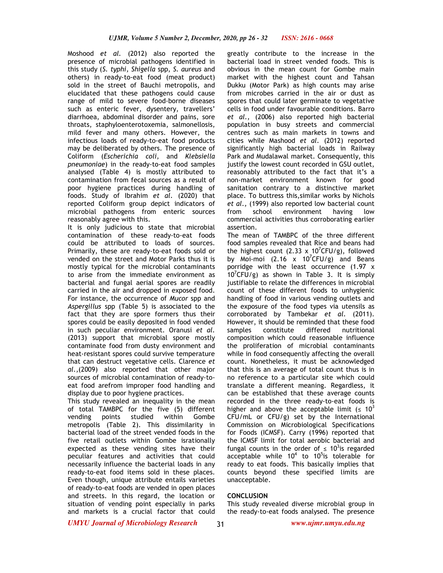Moshood *et al.* (2012) also reported the presence of microbial pathogens identified in this study (*S. typhi, Shigella* spp, *S. aureus* and others) in ready-to-eat food (meat product) sold in the street of Bauchi metropolis, and elucidated that these pathogens could cause range of mild to severe food-borne diseases such as enteric fever, dysentery, travellers' diarrhoea, abdominal disorder and pains, sore throats, staphyloenterotoxemia, salmonellosis, mild fever and many others. However, the infectious loads of ready-to-eat food products may be deliberated by others. The presence of Coliform (*Escherichia coli,* and *Klebsiella pneumoniae*) in the ready-to-eat food samples analysed (Table 4) is mostly attributed to contamination from fecal sources as a result of poor hygiene practices during handling of foods. Study of Ibrahim *et al.* (2020) that reported Coliform group depict indicators of microbial pathogens from enteric sources reasonably agree with this.

It is only judicious to state that microbial contamination of these ready-to-eat foods could be attributed to loads of sources. Primarily, these are ready-to-eat foods sold or vended on the street and Motor Parks thus it is mostly typical for the microbial contaminants to arise from the immediate environment as bacterial and fungal aerial spores are readily carried in the air and dropped in exposed food. For instance, the occurrence of *Mucor* spp and *Aspergillus* spp (Table 5) is associated to the fact that they are spore formers thus their spores could be easily deposited in food vended in such peculiar environment. Oranusi *et al.*  (2013) support that microbial spore mostly contaminate food from dusty environment and heat-resistant spores could survive temperature that can destruct vegetative cells. Clarence *et al.,*(2009) also reported that other major sources of microbial contamination of ready-toeat food arefrom improper food handling and display due to poor hygiene practices.

This study revealed an inequality in the mean of total TAMBPC for the five (5) different vending points studied within Gombe metropolis (Table 2). This dissimilarity in bacterial load of the street vended foods in the five retail outlets within Gombe isrationally expected as these vending sites have their peculiar features and activities that could necessarily influence the bacterial loads in any ready-to-eat food items sold in these places. Even though, unique attribute entails varieties of ready-to-eat foods are vended in open places and streets. In this regard, the location or situation of vending point especially in parks and markets is a crucial factor that could

greatly contribute to the increase in the bacterial load in street vended foods. This is obvious in the mean count for Gombe main market with the highest count and Tahsan Dukku (Motor Park) as high counts may arise from microbes carried in the air or dust as spores that could later germinate to vegetative cells in food under favourable conditions. Barro *et al.,* (2006) also reported high bacterial population in busy streets and commercial centres such as main markets in towns and cities while Mashood *et al.* (2012) reported significantly high bacterial loads in Railway Park and Mudalawal market. Consequently, this justify the lowest count recorded in GSU outlet, reasonably attributed to the fact that it's a non-market environment known for good sanitation contrary to a distinctive market place. To buttress this,similar works by Nichols *et al.,* (1999) also reported low bacterial count from school environment having low commercial activities thus corroborating earlier assertion.

The mean of TAMBPC of the three different food samples revealed that Rice and beans had the highest count (2.33 x 10<sup>7</sup>CFU/g), followed by Moi-moi  $(2.16 \times 10^7$ CFU/g) and Beans porridge with the least occurrence (1.97 x  $10^{7}$ CFU/g) as shown in Table 3. It is simply justifiable to relate the differences in microbial count of these different foods to unhygienic handling of food in various vending outlets and the exposure of the food types via utensils as corroborated by Tambekar *et al.* (2011). However, it should be reminded that these food samples constitute differed nutritional composition which could reasonable influence the proliferation of microbial contaminants while in food consequently affecting the overall count. Nonetheless, it must be acknowledged that this is an average of total count thus is in no reference to a particular site which could translate a different meaning. Regardless, it can be established that these average counts recorded in the three ready-to-eat foods is higher and above the acceptable limit ( $\leq 10^3$ CFU/mL or CFU/g) set by the International Commission on Microbiological Specifications for Foods (ICMSF). Carry (1996) reported that the ICMSF limit for total aerobic bacterial and fungal counts in the order of  $\leq 10^{3}$ is regarded acceptable while  $10^4$  to  $10^5$ is tolerable for ready to eat foods. This basically implies that counts beyond these specified limits are unacceptable.

## **CONCLUSION**

This study revealed diverse microbial group in the ready-to-eat foods analysed. The presence